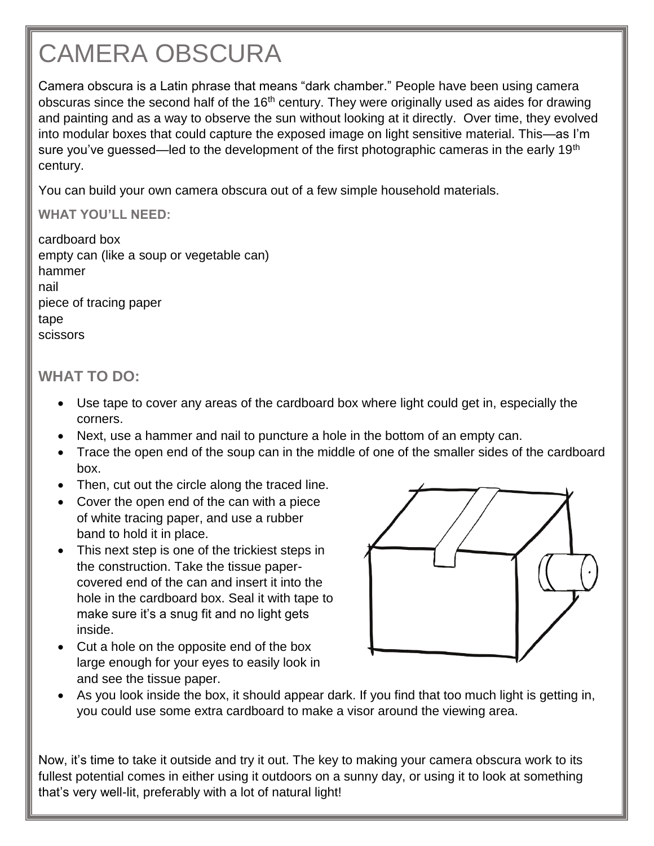## CAMERA OBSCURA

Camera obscura is a Latin phrase that means "dark chamber." People have been using camera obscuras since the second half of the 16<sup>th</sup> century. They were originally used as aides for drawing and painting and as a way to observe the sun without looking at it directly. Over time, they evolved into modular boxes that could capture the exposed image on light sensitive material. This—as I'm sure you've guessed—led to the development of the first photographic cameras in the early 19<sup>th</sup> century.

You can build your own camera obscura out of a few simple household materials.

## **WHAT YOU'LL NEED:**

| cardboard box                            |
|------------------------------------------|
| empty can (like a soup or vegetable can) |
| hammer                                   |
| nail                                     |
| piece of tracing paper                   |
| tape                                     |
| scissors                                 |

## **WHAT TO DO:**

- Use tape to cover any areas of the cardboard box where light could get in, especially the corners.
- Next, use a hammer and nail to puncture a hole in the bottom of an empty can.
- Trace the open end of the soup can in the middle of one of the smaller sides of the cardboard box.
- Then, cut out the circle along the traced line.
- Cover the open end of the can with a piece of white tracing paper, and use a rubber band to hold it in place.
- This next step is one of the trickiest steps in the construction. Take the tissue papercovered end of the can and insert it into the hole in the cardboard box. Seal it with tape to make sure it's a snug fit and no light gets inside.
- Cut a hole on the opposite end of the box large enough for your eyes to easily look in and see the tissue paper.



 As you look inside the box, it should appear dark. If you find that too much light is getting in, you could use some extra cardboard to make a visor around the viewing area.

Now, it's time to take it outside and try it out. The key to making your camera obscura work to its fullest potential comes in either using it outdoors on a sunny day, or using it to look at something that's very well-lit, preferably with a lot of natural light!